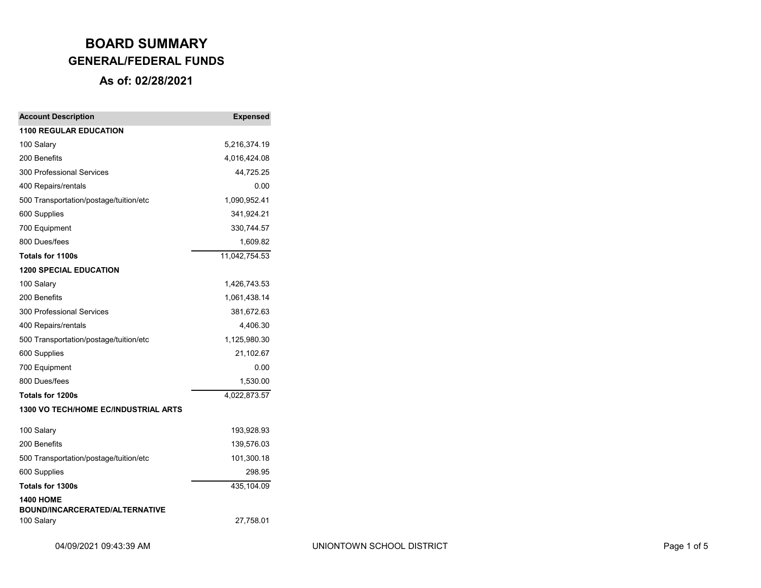| <b>Account Description</b>                          | <b>Expensed</b> |
|-----------------------------------------------------|-----------------|
| <b>1100 REGULAR EDUCATION</b>                       |                 |
| 100 Salary                                          | 5,216,374.19    |
| 200 Benefits                                        | 4,016,424.08    |
| 300 Professional Services                           | 44,725.25       |
| 400 Repairs/rentals                                 | 0.00            |
| 500 Transportation/postage/tuition/etc              | 1,090,952.41    |
| 600 Supplies                                        | 341,924.21      |
| 700 Equipment                                       | 330,744.57      |
| 800 Dues/fees                                       | 1,609.82        |
| Totals for 1100s                                    | 11,042,754.53   |
| <b>1200 SPECIAL EDUCATION</b>                       |                 |
| 100 Salary                                          | 1,426,743.53    |
| 200 Benefits                                        | 1,061,438.14    |
| 300 Professional Services                           | 381,672.63      |
| 400 Repairs/rentals                                 | 4,406.30        |
| 500 Transportation/postage/tuition/etc              | 1,125,980.30    |
| 600 Supplies                                        | 21,102.67       |
| 700 Equipment                                       | 0.00            |
| 800 Dues/fees                                       | 1,530.00        |
| <b>Totals for 1200s</b>                             | 4,022,873.57    |
| 1300 VO TECH/HOME EC/INDUSTRIAL ARTS                |                 |
| 100 Salary                                          | 193,928.93      |
| 200 Benefits                                        | 139,576.03      |
| 500 Transportation/postage/tuition/etc              | 101,300.18      |
| 600 Supplies                                        | 298.95          |
| Totals for 1300s                                    | 435,104.09      |
| <b>1400 HOME</b>                                    |                 |
| <b>BOUND/INCARCERATED/ALTERNATIVE</b><br>100 Salary | 27,758.01       |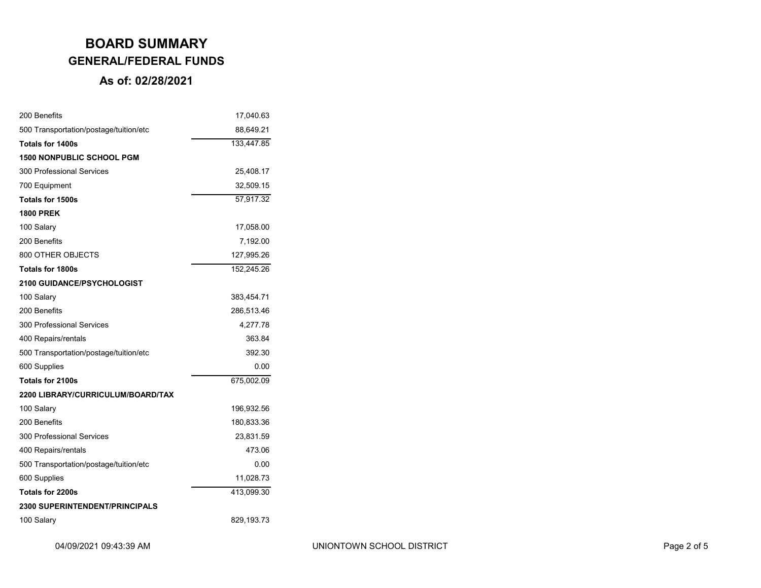| 200 Benefits                           | 17,040.63  |
|----------------------------------------|------------|
| 500 Transportation/postage/tuition/etc | 88,649.21  |
| <b>Totals for 1400s</b>                | 133,447.85 |
| <b>1500 NONPUBLIC SCHOOL PGM</b>       |            |
| 300 Professional Services              | 25,408.17  |
| 700 Equipment                          | 32,509.15  |
| Totals for 1500s                       | 57,917.32  |
| <b>1800 PREK</b>                       |            |
| 100 Salary                             | 17,058.00  |
| 200 Benefits                           | 7,192.00   |
| 800 OTHER OBJECTS                      | 127,995.26 |
| <b>Totals for 1800s</b>                | 152,245.26 |
| 2100 GUIDANCE/PSYCHOLOGIST             |            |
| 100 Salary                             | 383,454.71 |
| 200 Benefits                           | 286,513.46 |
| 300 Professional Services              | 4,277.78   |
| 400 Repairs/rentals                    | 363.84     |
| 500 Transportation/postage/tuition/etc | 392.30     |
| 600 Supplies                           | 0.00       |
| Totals for 2100s                       | 675,002.09 |
| 2200 LIBRARY/CURRICULUM/BOARD/TAX      |            |
| 100 Salary                             | 196,932.56 |
| 200 Benefits                           | 180,833.36 |
| 300 Professional Services              | 23,831.59  |
| 400 Repairs/rentals                    | 473.06     |
| 500 Transportation/postage/tuition/etc | 0.00       |
| 600 Supplies                           | 11,028.73  |
| Totals for 2200s                       | 413,099.30 |
| <b>2300 SUPERINTENDENT/PRINCIPALS</b>  |            |
| 100 Salary                             | 829,193.73 |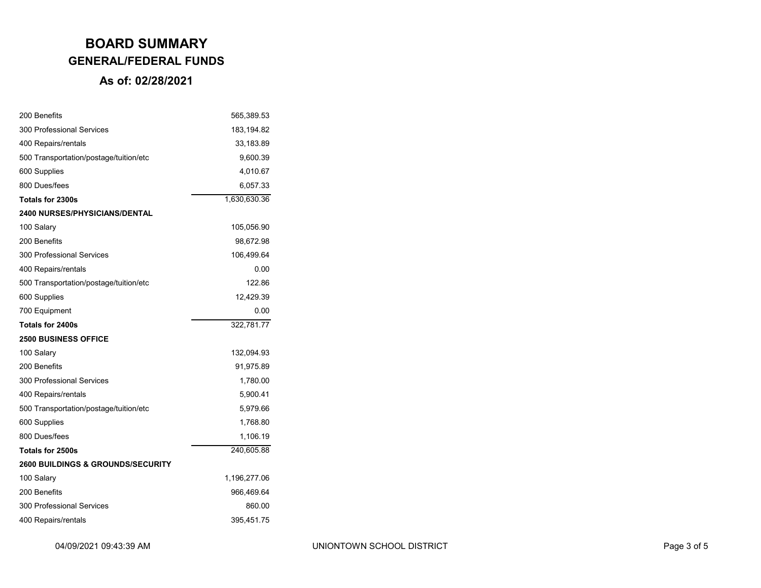| 200 Benefits                                 | 565,389.53   |
|----------------------------------------------|--------------|
| 300 Professional Services                    | 183, 194.82  |
| 400 Repairs/rentals                          | 33,183.89    |
| 500 Transportation/postage/tuition/etc       | 9,600.39     |
| 600 Supplies                                 | 4,010.67     |
| 800 Dues/fees                                | 6,057.33     |
| Totals for 2300s                             | 1,630,630.36 |
| <b>2400 NURSES/PHYSICIANS/DENTAL</b>         |              |
| 100 Salary                                   | 105,056.90   |
| 200 Benefits                                 | 98,672.98    |
| 300 Professional Services                    | 106,499.64   |
| 400 Repairs/rentals                          | 0.00         |
| 500 Transportation/postage/tuition/etc       | 122.86       |
| 600 Supplies                                 | 12,429.39    |
| 700 Equipment                                | 0.00         |
| Totals for 2400s                             | 322,781.77   |
| <b>2500 BUSINESS OFFICE</b>                  |              |
| 100 Salary                                   | 132,094.93   |
| 200 Benefits                                 | 91,975.89    |
| 300 Professional Services                    | 1,780.00     |
| 400 Repairs/rentals                          | 5,900.41     |
| 500 Transportation/postage/tuition/etc       | 5,979.66     |
| 600 Supplies                                 | 1,768.80     |
| 800 Dues/fees                                | 1,106.19     |
| Totals for 2500s                             | 240,605.88   |
| <b>2600 BUILDINGS &amp; GROUNDS/SECURITY</b> |              |
| 100 Salary                                   | 1,196,277.06 |
| 200 Benefits                                 | 966,469.64   |
| 300 Professional Services                    | 860.00       |
| 400 Repairs/rentals                          | 395,451.75   |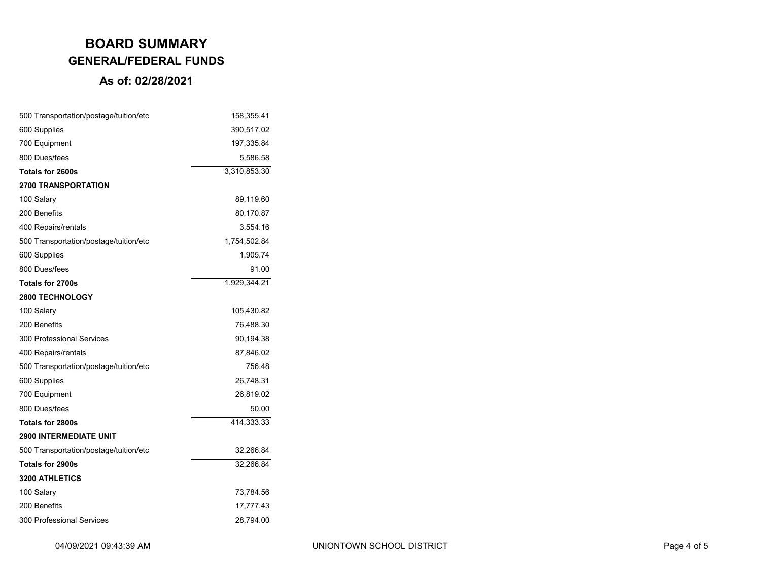| 500 Transportation/postage/tuition/etc | 158,355.41   |
|----------------------------------------|--------------|
| 600 Supplies                           | 390,517.02   |
| 700 Equipment                          | 197,335.84   |
| 800 Dues/fees                          | 5,586.58     |
| Totals for 2600s                       | 3,310,853.30 |
| <b>2700 TRANSPORTATION</b>             |              |
| 100 Salary                             | 89,119.60    |
| 200 Benefits                           | 80,170.87    |
| 400 Repairs/rentals                    | 3,554.16     |
| 500 Transportation/postage/tuition/etc | 1,754,502.84 |
| 600 Supplies                           | 1,905.74     |
| 800 Dues/fees                          | 91.00        |
| Totals for 2700s                       | 1,929,344.21 |
| <b>2800 TECHNOLOGY</b>                 |              |
| 100 Salary                             | 105,430.82   |
| 200 Benefits                           | 76,488.30    |
| 300 Professional Services              | 90,194.38    |
| 400 Repairs/rentals                    | 87,846.02    |
| 500 Transportation/postage/tuition/etc | 756.48       |
| 600 Supplies                           | 26,748.31    |
| 700 Equipment                          | 26,819.02    |
| 800 Dues/fees                          | 50.00        |
| Totals for 2800s                       | 414,333.33   |
| <b>2900 INTERMEDIATE UNIT</b>          |              |
| 500 Transportation/postage/tuition/etc | 32,266.84    |
| Totals for 2900s                       | 32,266.84    |
| <b>3200 ATHLETICS</b>                  |              |
| 100 Salary                             | 73,784.56    |
| 200 Benefits                           | 17,777.43    |
| 300 Professional Services              | 28,794.00    |